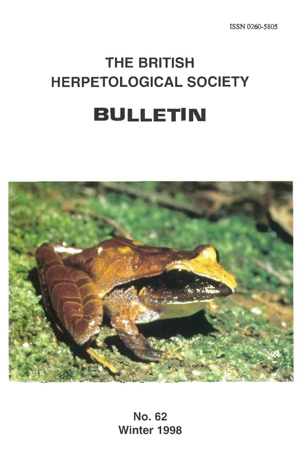# **THE BRITISH HERPETOLOGICAL SOCIETY BULLETIN**



**No. 62 Winter 1998**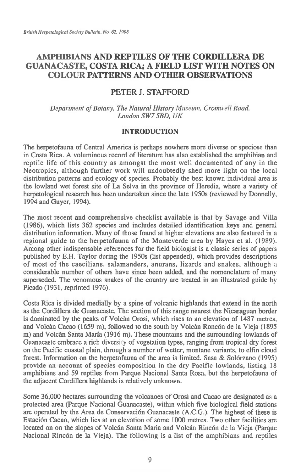# **AMPHIBIANS AND REPTILES OF THE CORDILLERA DE GUANACASTE, COSTA RICA; A FIELD LIST WITH NOTES ON COLOUR PATTERNS AND OTHER OBSERVATIONS**

## PETER J. STAFFORD

*Department of Botany, The Natural History Museum, Cromwell Road, London SW7 5BD, UK* 

## **INTRODUCTION**

The herpetofauna of Central America is perhaps nowhere more diverse or speciose than in Costa Rica. A voluminous record of literature has also established the amphibian and reptile life of this country as amongst the most well documented of any in the Neotropics, although further work will undoubtedly shed more light on the local distribution patterns and ecology of species. Probably the best known individual area is the lowland wet forest site of La Selva in the province of Heredia, where a variety of herpetological research has been undertaken since the late 1950s (reviewed by Donnelly, 1994 and Guyer, 1994).

The most recent and comprehensive checklist available is that by Savage and Villa (1986), which lists 362 species and includes detailed identification keys and general distribution information. Many of those found at higher elevations are also featured in a regional guide to the herpetofauna of the Monteverde area by Hayes et al. (1989). Among other indispensable references for the field biologist is a classic series of papers published by E.H. Taylor during the 1950s (list appended), which provides descriptions of most of the caecilians, salamanders, anurans, lizards and snakes, although a considerable number of others have since been added, and the nomenclature of many superseded. The venomous snakes of the country are treated in an illustrated guide by Picado (1931, reprinted 1976).

Costa Rica is divided medially by a spine of volcanic highlands that extend in the north as the Cordillera de Guanacaste. The section of this range nearest the Nicaraguan border is dominated by the peaks of Volcan Orosi, which rises to an elevation of 1487 metres, and Volcan Cacao (1659 m), followed to the south by Volcan Roncon de la Vieja (1895 m) and Volcàn Santa María (1916 m). These mountains and the surrounding lowlands of Guanacaste embrace a rich diversity of vegetation types, ranging from tropical dry forest on the Pacific coastal plain, through a number of wetter, montane variants, to elfin cloud forest. Information on the herpetofauna of the area is limited. Sasa & Solórzano (1995) provide an account of species composition in the dry Pacific lowlands, listing 18 amphibians and 59 reptiles from Parque Nacional Santa Rosa, but the herpetofauna of the adjacent Cordillera highlands is relatively unknown.

Some 36,000 hectares surrounding the volcanoes of Orosi and Cacao are designated as a protected area (Parque Nacional Guanacaste), within which five biological field stations are operated by the Area de Conservacion Guanacaste (A.C.G.). The highest of these is Estacion Cacao, which lies at an elevation of some 1000 metres. Two other facilities are located on on the slopes of Volcán Santa Maria and Volcán Rincón de la Vieja (Parque Nacional Rinc6n de la Vieja). The following is a list of the amphibians and reptiles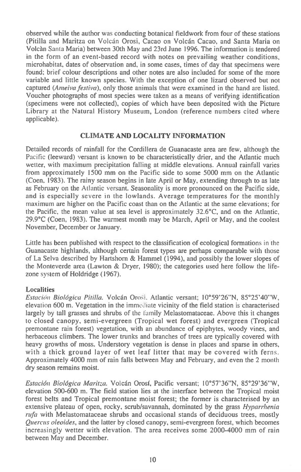**observed while the author was conducting botanical fieldwork from four of these stations (Pitilla and Maritza on Volcan Orosi, Cacao on Volcan Cacao, and Santa Maria on Volcan Santa Maria) between 30th May and 23rd June 1996. The information is tendered in the form of an event-based record with notes on prevailing weather conditions, microhabitat, dates of observation and, in some cases, times of day that specimens were found; brief colour descriptions and other notes are also included for some of the more variable and little known species. With the exception of one lizard observed but not captured** *(Anzeiva Festiva),* **only those animals that were examined in the hand are listed. Voucher photographs of most species were taken as a means of verifying identification (specimens were not collected), copies of which have been deposited with the Picture Library at the Natural History Museum, London (reference numbers cited where applicable).** 

#### **CLIMATE AND LOCALITY INFORMATION**

**Detailed records of rainfall for the Cordillera de Guanacaste area are few, although the Pacific (leeward) versant is known to be characteristically drier, and the Atlantic much wetter, with maximum precipitation falling at middle elevations. Annual rainfall varies from approximately 1500 mm on the Pacific side to some 5000 mm on the Atlantic (Coen, 1983). The rainy season begins in late April or May, extending through to as late as February on the Atlantic versant. Seasonality is more pronounced on the Pacific side, and is especially severe in the lowlands. Average temperatures for the monthly maximum are higher on the Pacific coast than on the Atlantic at the same elevations; for the Pacific, the mean value at sea level is approximately 32.6°C, and on the Atlantic, 29.9°C (Coen, 1983). The warmest month may be March, April or May, and the coolest November, December or January.** 

**Little has been published with respect to the classification of ecological formations** in the **Guanacaste highlands, although certain forest types are perhaps comparable with those of La Selva described by Hartshorn & Hammel (1994), and possibly the lower slopes of the Monteverde area (Lawton & Dryer, 1980); the categories used here follow the lifezone** system **of Holdridge (1967).** 

#### **Localities**

*Estación Biológica Pitilla.* Volcán Orosi. Atlantic versant; 10°59'26"N, 85°25'40"W, **elevation 600 m. Vegetation in the** immediate **vicinity of the field station is characterised largely by tall grasses and shrubs of** the Family Melastomataceae. Above this it changes **to closed canopy, semi-evergreen (Tropical wet forest) and evergreen (Tropical premontane rain forest) vegetation, with an abundance of epiphytes, woody vines, and herbaceous climbers. The lower trunks and branches of trees are typically covered with heavy growths of moss. Understory vegetation is dense in places and sparse in others, with a thick ground layer of wet leaf litter that may be covered with** ferns. **Approximately 4000 mm of rain falls between May and February, and even the 2 month dry season remains moist.** 

*Estado'? Biologica Maritza.* **Volcan Orosi, Pacific versant; 10°57'36"N, 85°29'36"W, elevation 500-600 m. The field station lies at the interface between the Tropical moist forest belts and Tropical premontane moist forest; the former is characterised by an extensive plateau of open, rocky, scrub/savannah, dominated by the grass** *Hyparrhenia rufa* **with Melastomataceae shrubs and occasional stands of deciduous trees, mostly**  *Quercus oleoides,* **and the latter by closed canopy, semi-evergreen forest, which becomes increasingly wetter with elevation. The area receives some 2000-4000 mm of rain between May and December.**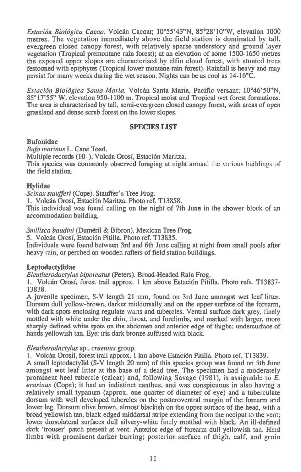*Estacidn Biologica Cacao.* **Volcan Cacoat; 10°55'43"N, 85°28'10"W, elevation 1000 metres. The vegetation immediately above the field station is dominated by tall, evergreen closed canopy forest, with relatively sparse understory and ground layer vegetation (Tropical premontane rain forest); at an elevation of some 1500-1650 metres the exposed upper slopes are characterised by elfin cloud forest, with stunted trees festooned with epiphytes (Tropical lower montane rain forest). Rainfall is heavy and may persist for many weeks during the wet season. Nights can be as cool as 14-16°C.** 

*Estacion Biologica Santa Maria.* **Volcan Santa Maria, Pacific versant; 10°46'50"N, 85°17'55" W, elevation 950-1100 m. Tropical moist and Tropical wet forest formations. The area is characterised by tall, semi-evergreen closed canopy forest, with areas of open grassland and dense scrub forest on the lower slopes.** 

#### **SPECIES LIST**

#### **Bufonidae**

*Bufo marinus* **L. Cane Toad. Multiple records (10+). Volcan Orosf, Estacion Maritza. This species was commonly observed foraging at night** around the various buildings of **the field station.** 

#### **Hylidae**

*Scinax staufferi* **(Cope). Stauffer's Tree Frog.** 

**1. Volcan Orosf, Estacion Maritza. Photo ref. T13858.** 

**This individual was found calling on the night of 7th June in the shower block of an accommodation building.** 

#### *Smilisca baudini* **(Dumeril & Bibron). Mexican Tree Frog.**

**5. Volcan Orosf, Estacion Pitilla. Photo ref. T13835.** 

**Individuals were found between 3rd and 6th June calling at night from small pools after heavy** rain, **or perched on wooden rafters of field station buildings.** 

#### **Leptodactylidae**

*Eleutherodactylus biporcatus* **(Peters). Broad-Headed Rain Frog.** 

**1. Volcan Orosf, forest trail approx. 1 km above Estacion Pitilla. Photo refs. T13837- 13838.** 

**A juvenile specimen, S-V length 21 mm, found on 3rd June amongst wet leaf litter. Dorsum dull yellow-brown, darker middorsally and on the upper surface of the forearm, with dark spots enclosing regulate** warts **and tubercles. Ventral surface dark grey, finely mottled with white under the chin, throat, and forelimbs, and marked with larger, more sharply defined white spots on the abdomen and anterior edge of thighs; undersurface of hands yellowish tan. Eye: iris dark bronze suffused with black.** 

#### *Eleutherodactylus* **sp.,** *cruentus* **group.**

1. **Volcan Orosif, forest trail approx. 1 km above Estacion Pitilla. Photo ref. T13839.** 

**A small leptodactylid (S-V length 20 mm) of this species group was found on 5th June amongst wet leaf litter at the base of a dead tree. The specimen had a moderately prominent heel tubercle (calcar) and, following Savage (1981), is assignable to** *E. erasinus* **(Cope); it had an indistinct canthus, and was conspicuous in also having a relatively small typanum (approx. one quarter of diameter of eye) and a tuberculate dorsum with well developed tubercles on the posteroventral margin of the forearm and lower leg. Dorsum olive brown, almost blackish on the upper surface of the head, with a broad yellowish tan, black-edged middorsal stripe extending from the occiput to the vent; lower dorsolateral surfaces dull silvery-white** finely **mottled** with **black. An ill-defined dark 'trouser' patch present at vent. Anterior edge of forearm dull yellowish tan. Hind limbs with prominent darker barring; posterior surface of thigh, calf, and groin**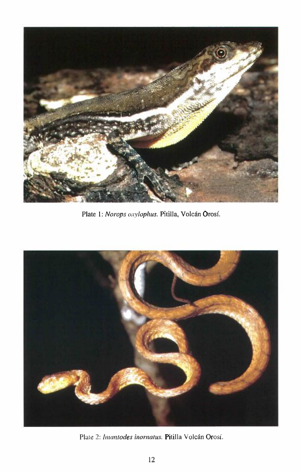

Plate I: Norops oxylophus. Pitilla, Volcán Orosí.



Plate 2: *Imantodes inornatus*. Pitilla Volcán Orosí.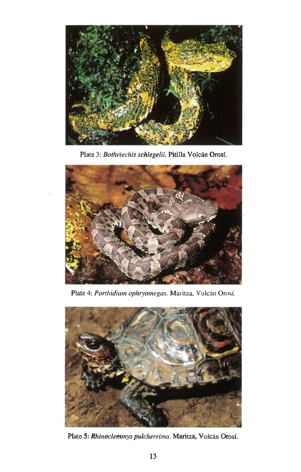

Plate 3: *Bothriechis schlegelii*. Pitilla Volcán Orosí.



Plate 4: Porthidium ophryomegas. Maritza, Volcán Orosí.



Plate 5: *Rhinoclemmys pulcherrima*. Maritza, Volcán Orosí.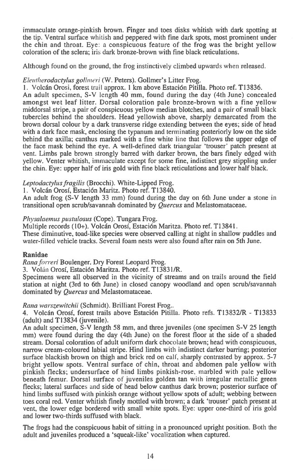immaculate orange-pinkish brown. Finger and toes disks whitish with dark spotting at the tip. Ventral surface whitish and *peppered with* fine dark spots, most prominent under the chin and throat. Eye: a conspicuous feature of the frog was the bright yellow coloration of the sclera; iris dark bronze-brown with fine black reticulations.

Although found on the ground, the frog instinctively climbed upwards when released.

## *Eleutherodactylus golhnc ri (W.* Peters). Gollmer's Litter Frog.

1. Volcan Orosi, forest trail approx. 1 km above Estacion Pitilla. Photo ref. T13836. An adult specimen, S-V length 40 mm, found during the day (4th June) concealed amongst wet leaf litter. Dorsal coloration pale bronze-brown with a fine yellow middorsal stripe, a pair of conspicuous yellow median blotches, and a pair of small black tubercles behind the shoulders. Head yellowish above, sharply demarcated from the brown dorsal colour by a dark transverse ridge extending between the eyes; side of head with a dark face mask, enclosing the typanum and terminating posteriorly low on the side behind the axilla; canthus marked with a fine white line that follows the upper edge of the face mask behind the eye. A well-defined dark triangular 'trouser' patch present at vent. Limbs pale brown strongly barred with darker brown, the bars finely edged with yellow. Venter whitish, immaculate except for some fine, indistinct grey stippling under the chin. Eye: upper half of iris gold with fine black reticulations and lower half black.

## *Leptoclactylus fragilis* (Brocchi). White-Lipped Frog.

I. Volcan Orosi, Estacion Maritz. Photo ref. T13840.

An adult frog (S-V length 33 mm) found during the day on 6th June under a stone in transitional open scrub/savannah dominated by *Quercus* and Melastomataceae.

## *Physalaemus pustulosus* (Cope). Tungara Frog.

Multiple records (10+). Volcan Orosi, Estacion Maritza. Photo ref. TI3841.

These diminutive, toad-like species were observed calling at night in shallow puddles and water-filled vehicle tracks. Several foam nests were also found after rain on 5th June.

## **Ranidae**

*Rana forreri* Boulenger. Dry Forest Leopard Frog.

3. Volán Orosí, Estación Maritza. Photo ref. T13831/R.

Specimens were all observed in the vicinity of streams and on trails around the field station at night (3rd to 6th June) in closed canopy woodland and open scrub/savannah dominated by *Quercus* and Melastomataceae.

*Rana warszewitchii* (Schmidt). Brilliant Forest Frog..

4. Volcán Orosí, forest trails above Estación Pitilla. Photo refs. T13832/R - T13833 (adult) and T13834 (juvenile).

An adult specimen, S-V length 58 mm, and three juveniles (one specimen S-V 25 length mm) were found during the day (4th June) on the forest floor at the side of a shaded stream. Dorsal coloration of adult uniform dark chocolate brown; head with conspicuous, narrow cream-coloured labial stripe. Hind limbs with indistinct darker barring; posterior surface blackish brown on thigh and brick red on calf, sharply contrasted by approx. 5-7 bright yellow spots. Ventral surface of chin, throat and abdomen pale yellow with pinkish flecks; undersurface of hind limbs pinkish-rose, marbled with pale yellow beneath femur. Dorsal surface of juveniles golden tan with irregular metallic green flecks; lateral surfaces and side of head below canthus dark brown; posterior surface of hind limbs suffused with pinkish orange without yellow spots of adult; webbing between toes coral red. Venter whitish finely mottled with brown; a dark 'trouser' patch present at vent, the lower edge bordered with small white spots. Eye: upper one-third of iris gold and lower two-thirds suffused with black.

The frogs had the conspicuous habit of sitting in a pronounced upright position. Both the adult and juveniles produced a 'squeak-like' vocalization when captured.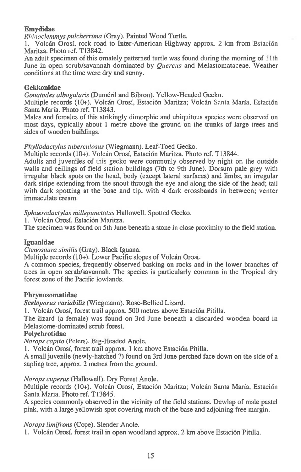## **Emydidae**

*Rhinoclemmys pulcherrima* (Gray). Painted Wood Turtle.

1. Volcan Orosi, rock road to Inter-American Highway approx. 2 km from Estaci6n Maritza. Photo ref. T13842.

An adult specimen of this ornately patterned turtle was found during the morning of 11th June in open scrub/savannah dominated by *Quercus* and Melastomataceae. Weather conditions at the time were dry and sunny.

#### **Gekkonidae**

*Gonatodes albogularis* (Dumeril and Bibron). Yellow-Headed Gecko.

Multiple records (10+). Volcan Orosi, Estaci6n Maritza; Volcan Santa Marfa, Estacion Santa Maria. Photo ref. T13843.

Males and females of this strikingly dimorphic and ubiquitous species were observed on most days, typically about 1 metre above the ground on the trunks of large trees and sides of wooden buildings.

#### *Phyllodactylus tuberculosus* (Wiegmann). Leaf-Toed Gecko.

Multiple records (10+). Volcán Orosí, Estación Maritza. Photo ref. T13844.

Adults and juveniles of this gecko were commonly observed by night on the outside walls and ceilings of field station buildings (7th to 9th June). Dorsum pale grey with irregular black spots on the head, body (except lateral surfaces) and limbs; an irregular dark stripe extending from the snout through the eye and along the side of the head; tail with dark spotting at the base and tip, with 4 dark crossbands in between; venter immaculate cream.

*Sphaerodactylus millepunctatus* Hallowell. Spotted Gecko.

1. Volcán Orosí, Estación Maritza.

The specimen was found on 5th June beneath a stone in close proximity to the field station.

#### **Iguanidae**

*Ctenosaura similis* (Gray). Black Iguana.

Multiple records (10+). Lower Pacific slopes of Volcán Orosi.

A common species, frequently observed basking on rocks and in the lower branches of trees in open scrub/savannah. The species is particularly common in the Tropical dry forest zone of the Pacific lowlands.

#### **Phrynosomatidae**

*Sceloporus variabilis* (Wiegmann). Rose-Bellied Lizard.

1. Volcán Orosí, forest trail approx. 500 metres above Estación Pitilla.

The lizard (a female) was found on 3rd June beneath a discarded wooden board in Melastome-dominated scrub forest.

#### **Polychrotidae**

*Norops capito* (Peters). Big-Headed Anole.

1. Volcán Orosí, forest trail approx. 1 km above Estación Pitilla.

A small juvenile (newly-hatched ?) found on 3rd June perched face down on the side of a sapling tree, approx. 2 metres from the ground.

*Norops cuperus* (Hallowell). Dry Forest Anole.

Multiple records (10+). Volcán Orosí, Estación Maritza; Volcán Santa María, Estación Santa Maria. Photo ref. T13845.

A species commonly observed in the vicinity of the field stations. Dewlap of male pastel pink, with a large yellowish spot covering much of the base and adjoining free margin.

*Norops lunifrons* (Cope). Slender Anole.

1. Volcan Orosf, forest trail in open woodland approx. 2 km above Estacidn Pitilla.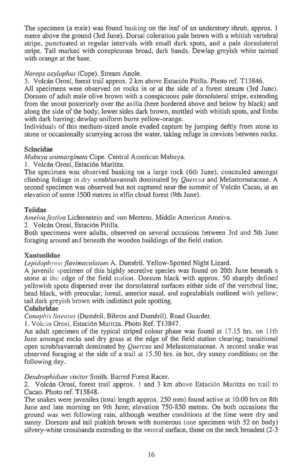The specimen (a male) was found basking on the leaf of an understory shrub, approx. 1 metre above the ground (3rd June). Dorsal coloration pale brown with a whitish vertebral stripe, punctuated at regular intervals with small dark spots, and a pale dorsolateral stripe. Tail marked with conspicuous broad, dark bands. Dewlap greyish white tainted with orange at the base.

## *Norops oxylophus* (Cope). Stream Anole.

3. Volcan Grog, forest trail approx. 2 km above Estaci6n Pitilla. Photo ref. T13846.

All specimens were observed on rocks in or at the side of a forest stream (3rd June). Dorsum of adult male olive brown with a conspicuous pale dorsolateral stripe, extending from the snout posteriorly over the axilla (here bordered above and below by black) and along the side of the body; lower sides dark brown, mottled with whitish spots, and limbs with dark barring; dewlap uniform burnt yellow-orange.

Individuals of this medium-sized anole evaded capture by jumping deftly from stone to stone or occasionally scurrying across the water, taking refuge in crevices between rocks.

## **Scincidae**

*Mabuya unimarginata* Cope. Central American Mabuya.

1. Volcán Orosí, Estación Maritza.

The specimen was observed basking on a large rock (6th June), concealed amongst climbing foliage in dry scrub/savannah dominated by *Quercus* and Melastomataceae. A second specimen was observed but not captured near the summit of Volcán Cacao, at an elevation of some 1500 metres in elfin cloud forest (9th June).

## **Teiidae**

*Ameiva festiva* Lichtenstein and von Mertens. Middle American Ameiva.

2. Volcán Orosí, Estación Pitilla.

Both specimens were adults, observed on several occasions between 3rd and 5th June foraging around and beneath the wooden buildings of the field station.

## **Xantusiidae**

*Lepidophyma. flavimaculatum* A. Dumeril. Yellow-Spotted Night Lizard.

A juvenile specimen of this highly secretive species was found on 20th June beneath a stone at the edge of the field station. Dorsum black with approx. 50 sharply defined yellowish spots dispersed over the dorsolateral surfaces either side of the vertebral line; head black, with preocular, loreal, anterior nasal, and supralabials outlined with yellow; tail dark greyish brown with indistinct pale spotting.

## **Colubridae**

*Conophis lineatus* (Duméril, Bibron and Duméril). Road Guarder.

1. Volcán Orosí, Estación Maritza. Photo Ref. T13847.

An adult specimen of the typical striped colour phase was found at 17.15 hrs. on 11th June amongst rocks and dry grass at the edge of the field station clearing; transitional open scrub/savannah dominated by *Quercus* and Melastomataceae. A second snake was observed foraging at the side of a trail at 15.50 hrs. in hot, dry sunny conditions on the following day.

*Dendrophidion vinitor* Smith. Barred Forest Racer.

2. Volcan Grog, forest trail approx. 1 and 3 km above Estacion Maritza on trail to Cacao. Photo ref. T13848.

The snakes were juveniles (total length approx. 250 mm) found active at 10.00 hrs on 8th June and late morning on 9th June; elevation 750-850 metres. On both occasions the ground was wet following rain, although weather conditions at the time were dry and sunny. Dorsum and tail pinkish brown with numerous (one specimen with 52 on body) silvery-white crossbands extending to the ventral surface, those on the neck broadest (2-3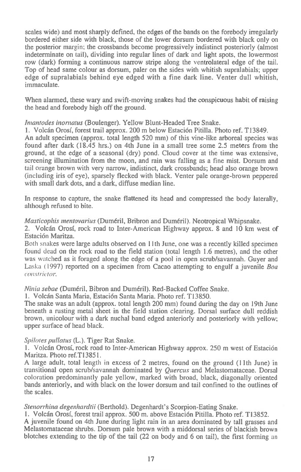**scales wide) and most sharply defined, the edges of the bands on the forebody irregularly bordered either side with black, those of the lower dorsum bordered with black only on the posterior margin; the crossbands become progressively indistinct posteriorly (almost indeterminate on tail), dividing into regular lines of dark and light spots, the lowermost row (dark) forming a continuous narrow stripe along the ventrolateral edge of the tail. Top of head same colour as dorsum, paler on the sides with whitish supralabials; upper edge of supralabials behind eye edged with a fine dark line. Venter dull whitish, immaculate.** 

**When alarmed, these wary and swift-moving snakes had the conspicuous habit of raising the head and forebody high off the ground.** 

*lmantodes inornatus* **(Boulenger). Yellow Blunt-Headed Tree Snake.** 

**1. Volcan Orosf, forest trail approx. 200 m below Estacion Pitilla. Photo ref. T13849.** 

**An adult specimen (approx. total length 520 mm) of this vine-like arboreal species was found after dark (18.45 hrs.) on 4th June in a small tree some 2.5 meters from the ground, at the edge of a seasonal (dry) pond. Cloud cover at the time was extensive, screening illumination from the moon, and rain was falling as a fine mist. Dorsum and tail orange brown with very narrow, indistinct, dark crossbands; head also orange brown (including iris of eye), sparsely flecked with black. Venter pale orange-brown peppered with small dark dots, and a dark, diffuse median line.** 

**In response to capture, the snake flattened its head and compressed the body laterally, although refused to bite.** 

*Masticophis mentovarius* **(Dumeril, Bribron and Dumeril). Neotropical Whipsnake.** 

**2. Volcan Orosf, rock road to Inter-American Highway approx. 8 and 10 km west of Estaci6n Maritza.** 

**Both snakes were large adults observed on 11th June, one was a recently killed specimen found dead on the rock road to the field station (total length 1.6 metres), and the other was** watched **as it foraged along the edge of a pool in open scrub/savannah. Guyer and**  Laska (1997) reported **on a specimen from Cacao attempting to engulf a juvenile** *Boa constrictor.* 

*Ninia sebae* **(Dumeril, Bibron and Dumeril). Red-Backed Coffee Snake.** 

**1. Volcan Santa Maria, Estacion Santa Maria. Photo ref. T13850.** 

**The snake was an adult (approx. total length 200 mm) found during the day on 19th June beneath a rusting metal sheet in the field station clearing. Dorsal surface dull reddish brown, unicolour with a dark nuchal band edged anteriorly and posteriorly with yellow; upper surface of head black.** 

## *Spilotes pullatus* **(L.). Tiger Rat Snake.**

**1. Volcan Orosf, rock road to Inter-American Highway approx. 250 m west of Estacion Maritza. Photo ref.T1385I.** 

**A large adult, total length in excess of 2 metres, found on the ground (11th June) in transitional open scrub/savannah dominated by** *Quercus* **and Melastomataceae. Dorsal coloration predominantly pale yellow, marked with broad, black, diagonally oriented bands anteriorly, and with black on the lower dorsum and tail confined to the outlines of the scales.** 

*Stenorrhina degenhardtii* **(Berthold). Degenhardt's Scorpion-Eating Snake.** 

**1. Volcan Orosf, forest trail approx. 500 m. above Estacion Pitilla. Photo ref. T13852.** 

**A juvenile found on 4th June during light rain in an area dominated by tall grasses and Melastomataceae shrubs. Dorsum pale brown with a middorsal series of blackish brown blotches extending to the tip of the tail (22 on body and 6 on tail), the first** forming an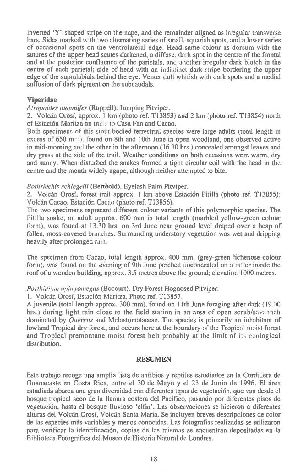**inverted 'Y'-shaped stripe on the nape, and the remainder aligned as irregular transverse bars. Sides marked with two alternating series of small, squarish spots, and a lower series of occasional spots on the ventrolateral edge. Head same colour as dorsum with the sutures of the upper head scutes darkened, a diffuse. dark spot in the centre of the frontal and at the posterior confluence of the parietals, and another irregular dark blotch in the centre of each parietal; side of head with an indistinct dark stripe bordering the upper edge of the supralabials behind the eye. Venter dull whitish with dark spots and a medial suffusion of dark pigment on the subcaudals.** 

#### **Viperidae**

Atropoides nummifer (Ruppell). Jumping Pitviper.

**2. Volean Grog, approx. 1 km (photo ref. T13853) and 2 km (photo ref. T13854) north of Estaci6n Maritza on trails to Casa Fan and Cacao.** 

**Both specimens of this stout-bodied terrestrial species were large adults (total length in excess of 650** mm). **found on 8th and 10th June in open woodland, one observed active in mid-morning** and **the other in the afternoon (16.30 hrs.) concealed amongst leaves and dry grass at the side of the trail. Weather conditions on both occasions were warm, dry and sunny. When disturbed the snakes formed a tight circular coil with the head in the centre and the mouth widely agape, although neither attempted to bite.** 

#### Bothriechis schlegelii (Berthold). Eyelash Palm Pitviper.

**2. Volean Orosi, forest trail approx. I km above Estacion Pitilla (photo ref. T13855); Vo'can Cacao, Estacion** Cacao **(photo ref. TI3856).** 

The two **specimens represent different colour variants of this polymorphic species. The Pitilla snake, an adult approx. 600 mm in total length (marbled yellow-green colour form), was found at 13.30 hrs. on 3rd June near ground level draped over a heap of fallen, moss-covered branches. Surrounding understory vegetation was wet and dripping heavily after prolonged** rain.

**The specimen from Cacao, total length approx. 400 mm. (grey-green hchenose colour form), was found on the evening of 9th June perched unconcealed on** a rafter **inside the roof of a wooden building, approx. 3.5 metres above the ground; elevation 1000 metres.** 

#### Porthidium ophryomegas **(Bocourt). Dry Forest Hognosed Pitviper.**

**I. Vo!can Oros(, Estacion Maritza. Photo ref. T13857.** 

**A juvenile (total length approx. 300 mm), found on llth June foraging after dark** (19.00 hrs.) **during light rain close to the field station in an area of open scrub/savannah dominated by** *Quercus* **and Melastomataceae. The species is primarily an inhabitant of lowland Tropical dry forest, and occurs here at the boundary of the Tropical moist forest and Tropical premontane moist forest belt probably at the limit of its ecological distribution.** 

#### **RESUMEN**

**Este trabajo recoge una amplia lista de anfibios y reptiles estudiados en la Cordillera de Guanacaste en Costa Rica, entre el 30 de Mayo y el 23 de Junio de 1996. El area estudiada abarca una gran diversidad con diferentes tipos de vegetaci6n, que van desde el bosque tropical seco de la Ilanura costera del Pacifico, pasando por diferentes pisos de vegetacion, hasta el bosque Iluvioso 'elfin'. Las observaciones se hicieron a diferentes**  alturas del Volcán Orosí, Volcán Santa Maria. Se incluyen breves descripciones de color **de las especies mas variables y menos conocidas. Las fotografias realizadas se utilizaron para verificar la identificacion, copias de las** mismas **se encuentran depositadas en la Biblioteca Fotogrefica del Museo de Historia Natural de Londres.**